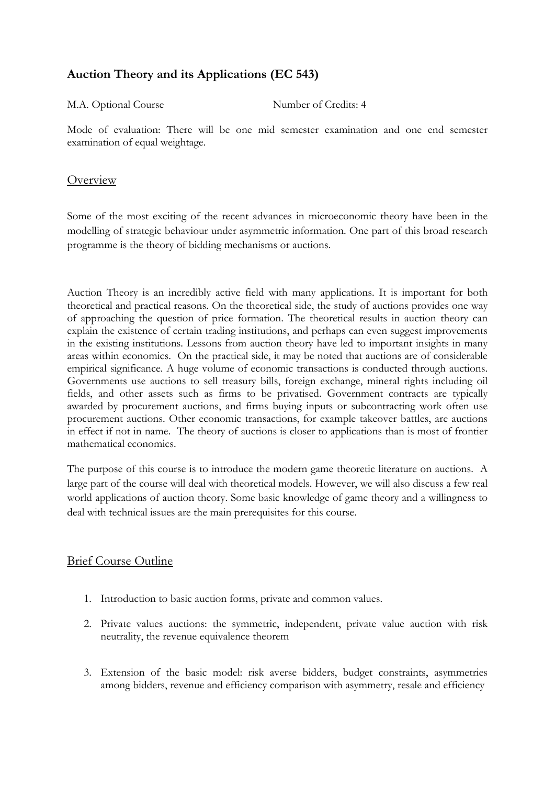# **Auction Theory and its Applications (EC 543)**

M.A. Optional Course Number of Credits: 4

Mode of evaluation: There will be one mid semester examination and one end semester examination of equal weightage.

## **Overview**

Some of the most exciting of the recent advances in microeconomic theory have been in the modelling of strategic behaviour under asymmetric information. One part of this broad research programme is the theory of bidding mechanisms or auctions.

Auction Theory is an incredibly active field with many applications. It is important for both theoretical and practical reasons. On the theoretical side, the study of auctions provides one way of approaching the question of price formation. The theoretical results in auction theory can explain the existence of certain trading institutions, and perhaps can even suggest improvements in the existing institutions. Lessons from auction theory have led to important insights in many areas within economics. On the practical side, it may be noted that auctions are of considerable empirical significance. A huge volume of economic transactions is conducted through auctions. Governments use auctions to sell treasury bills, foreign exchange, mineral rights including oil fields, and other assets such as firms to be privatised. Government contracts are typically awarded by procurement auctions, and firms buying inputs or subcontracting work often use procurement auctions. Other economic transactions, for example takeover battles, are auctions in effect if not in name. The theory of auctions is closer to applications than is most of frontier mathematical economics.

The purpose of this course is to introduce the modern game theoretic literature on auctions. A large part of the course will deal with theoretical models. However, we will also discuss a few real world applications of auction theory. Some basic knowledge of game theory and a willingness to deal with technical issues are the main prerequisites for this course.

# Brief Course Outline

- 1. Introduction to basic auction forms, private and common values.
- 2. Private values auctions: the symmetric, independent, private value auction with risk neutrality, the revenue equivalence theorem
- 3. Extension of the basic model: risk averse bidders, budget constraints, asymmetries among bidders, revenue and efficiency comparison with asymmetry, resale and efficiency